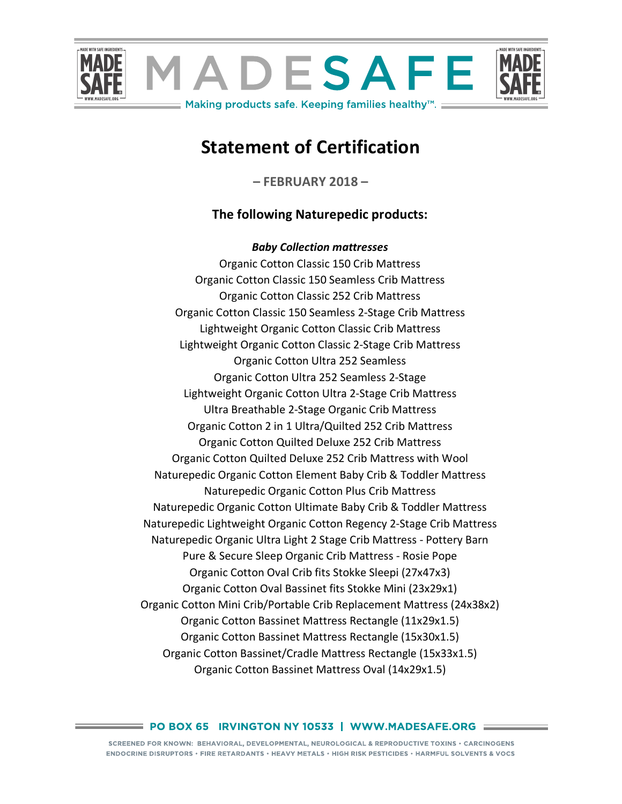

# **Statement of Certification**

**– FEBRUARY 2018 –**

# **The following Naturepedic products:**

*Baby Collection mattresses* Organic Cotton Classic 150 Crib Mattress Organic Cotton Classic 150 Seamless Crib Mattress Organic Cotton Classic 252 Crib Mattress Organic Cotton Classic 150 Seamless 2-Stage Crib Mattress Lightweight Organic Cotton Classic Crib Mattress Lightweight Organic Cotton Classic 2-Stage Crib Mattress Organic Cotton Ultra 252 Seamless Organic Cotton Ultra 252 Seamless 2-Stage Lightweight Organic Cotton Ultra 2-Stage Crib Mattress Ultra Breathable 2-Stage Organic Crib Mattress Organic Cotton 2 in 1 Ultra/Quilted 252 Crib Mattress Organic Cotton Quilted Deluxe 252 Crib Mattress Organic Cotton Quilted Deluxe 252 Crib Mattress with Wool Naturepedic Organic Cotton Element Baby Crib & Toddler Mattress Naturepedic Organic Cotton Plus Crib Mattress Naturepedic Organic Cotton Ultimate Baby Crib & Toddler Mattress Naturepedic Lightweight Organic Cotton Regency 2-Stage Crib Mattress Naturepedic Organic Ultra Light 2 Stage Crib Mattress - Pottery Barn Pure & Secure Sleep Organic Crib Mattress - Rosie Pope Organic Cotton Oval Crib fits Stokke Sleepi (27x47x3) Organic Cotton Oval Bassinet fits Stokke Mini (23x29x1) Organic Cotton Mini Crib/Portable Crib Replacement Mattress (24x38x2) Organic Cotton Bassinet Mattress Rectangle (11x29x1.5) Organic Cotton Bassinet Mattress Rectangle (15x30x1.5) Organic Cotton Bassinet/Cradle Mattress Rectangle (15x33x1.5) Organic Cotton Bassinet Mattress Oval (14x29x1.5)

#### $\equiv$  PO BOX 65  $\,$  IRVINGTON NY 10533  $\,$  | WWW.MADESAFE.ORG  $\,$   $\equiv$   $\,$

SCREENED FOR KNOWN: BEHAVIORAL, DEVELOPMENTAL, NEUROLOGICAL & REPRODUCTIVE TOXINS . CARCINOGENS ENDOCRINE DISRUPTORS • FIRE RETARDANTS • HEAVY METALS • HIGH RISK PESTICIDES • HARMFUL SOLVENTS & VOCS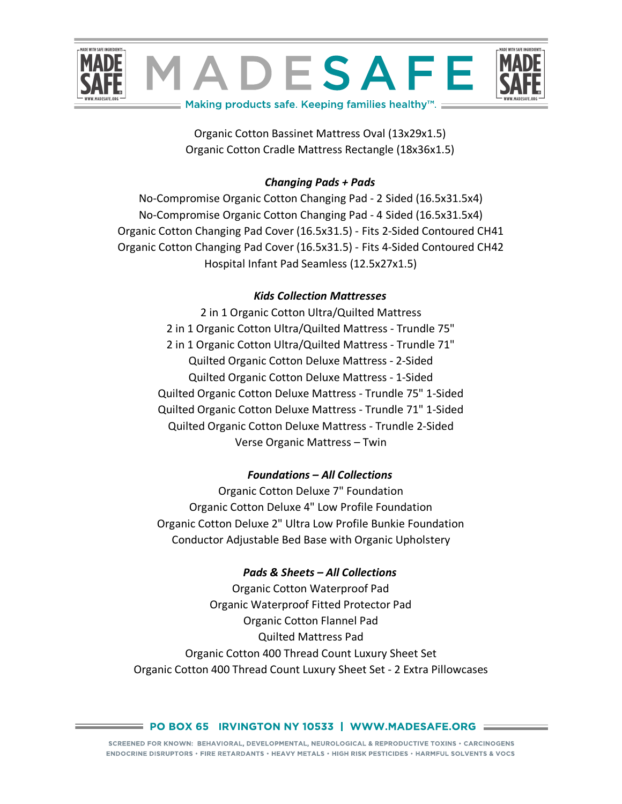

Organic Cotton Bassinet Mattress Oval (13x29x1.5) Organic Cotton Cradle Mattress Rectangle (18x36x1.5)

## *Changing Pads + Pads*

No-Compromise Organic Cotton Changing Pad - 2 Sided (16.5x31.5x4) No-Compromise Organic Cotton Changing Pad - 4 Sided (16.5x31.5x4) Organic Cotton Changing Pad Cover (16.5x31.5) - Fits 2-Sided Contoured CH41 Organic Cotton Changing Pad Cover (16.5x31.5) - Fits 4-Sided Contoured CH42 Hospital Infant Pad Seamless (12.5x27x1.5)

# *Kids Collection Mattresses*

2 in 1 Organic Cotton Ultra/Quilted Mattress 2 in 1 Organic Cotton Ultra/Quilted Mattress - Trundle 75" 2 in 1 Organic Cotton Ultra/Quilted Mattress - Trundle 71" Quilted Organic Cotton Deluxe Mattress - 2-Sided Quilted Organic Cotton Deluxe Mattress - 1-Sided Quilted Organic Cotton Deluxe Mattress - Trundle 75" 1-Sided Quilted Organic Cotton Deluxe Mattress - Trundle 71" 1-Sided Quilted Organic Cotton Deluxe Mattress - Trundle 2-Sided Verse Organic Mattress – Twin

# *Foundations – All Collections*

Organic Cotton Deluxe 7" Foundation Organic Cotton Deluxe 4" Low Profile Foundation Organic Cotton Deluxe 2" Ultra Low Profile Bunkie Foundation Conductor Adjustable Bed Base with Organic Upholstery

### *Pads & Sheets – All Collections*

Organic Cotton Waterproof Pad Organic Waterproof Fitted Protector Pad Organic Cotton Flannel Pad Quilted Mattress Pad Organic Cotton 400 Thread Count Luxury Sheet Set Organic Cotton 400 Thread Count Luxury Sheet Set - 2 Extra Pillowcases

#### = PO BOX 65 IRVINGTON NY 10533 | WWW.MADESAFE.ORG =========

SCREENED FOR KNOWN: BEHAVIORAL, DEVELOPMENTAL, NEUROLOGICAL & REPRODUCTIVE TOXINS . CARCINOGENS ENDOCRINE DISRUPTORS • FIRE RETARDANTS • HEAVY METALS • HIGH RISK PESTICIDES • HARMFUL SOLVENTS & VOCS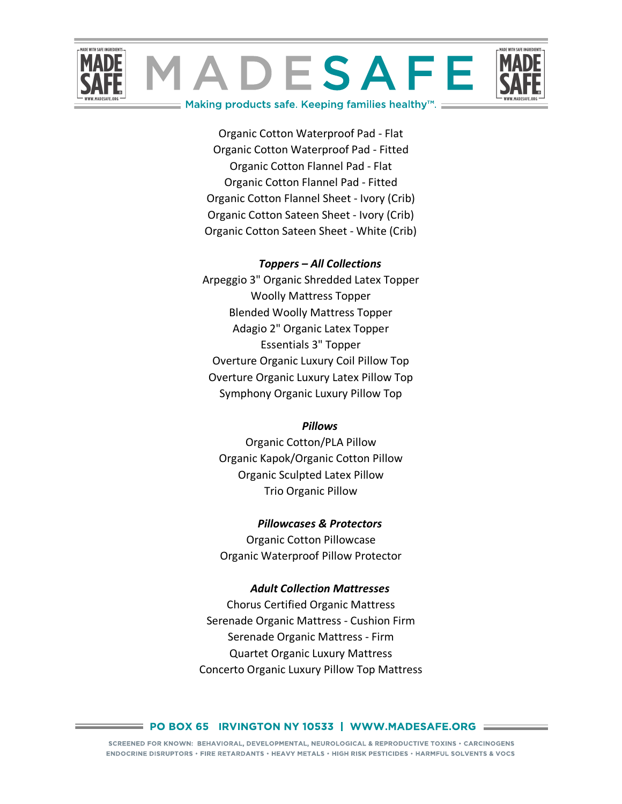

Organic Cotton Waterproof Pad - Flat Organic Cotton Waterproof Pad - Fitted Organic Cotton Flannel Pad - Flat Organic Cotton Flannel Pad - Fitted Organic Cotton Flannel Sheet - Ivory (Crib) Organic Cotton Sateen Sheet - Ivory (Crib) Organic Cotton Sateen Sheet - White (Crib)

#### *Toppers – All Collections*

Arpeggio 3" Organic Shredded Latex Topper Woolly Mattress Topper Blended Woolly Mattress Topper Adagio 2" Organic Latex Topper Essentials 3" Topper Overture Organic Luxury Coil Pillow Top Overture Organic Luxury Latex Pillow Top Symphony Organic Luxury Pillow Top

#### *Pillows*

Organic Cotton/PLA Pillow Organic Kapok/Organic Cotton Pillow Organic Sculpted Latex Pillow Trio Organic Pillow

#### *Pillowcases & Protectors*

Organic Cotton Pillowcase Organic Waterproof Pillow Protector

#### *Adult Collection Mattresses*

Chorus Certified Organic Mattress Serenade Organic Mattress - Cushion Firm Serenade Organic Mattress - Firm Quartet Organic Luxury Mattress Concerto Organic Luxury Pillow Top Mattress

#### $\equiv$  PO BOX 65  $\,$  IRVINGTON NY 10533  $\,$  | WWW.MADESAFE.ORG  $\,$   $\equiv$   $\,$